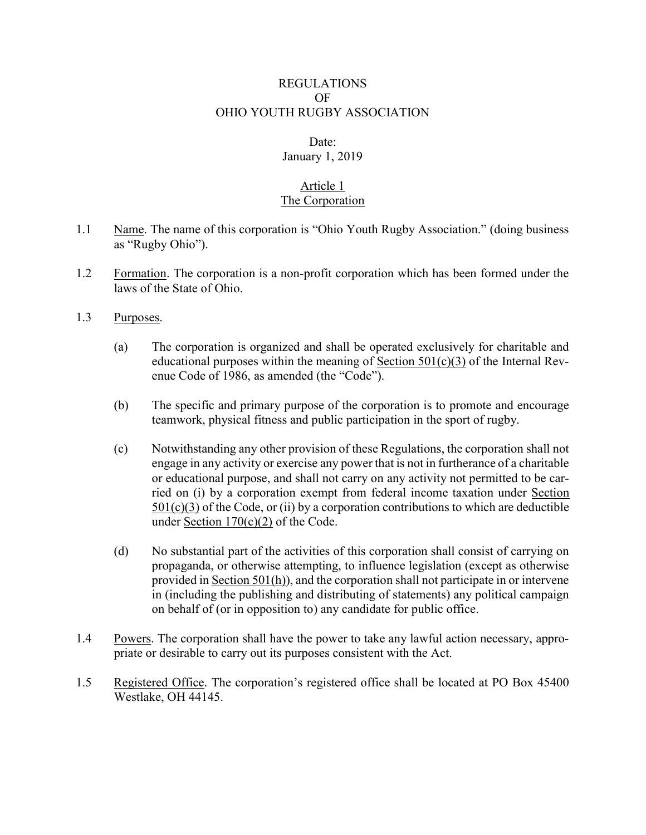## REGULATIONS OF OHIO YOUTH RUGBY ASSOCIATION

#### Date:

# January 1, 2019

#### Article 1 The Corporation

- 1.1 Name. The name of this corporation is "Ohio Youth Rugby Association." (doing business as "Rugby Ohio").
- 1.2 Formation. The corporation is a non-profit corporation which has been formed under the laws of the State of Ohio.
- 1.3 Purposes.
	- (a) The corporation is organized and shall be operated exclusively for charitable and educational purposes within the meaning of Section  $501(c)(3)$  of the Internal Revenue Code of 1986, as amended (the "Code").
	- (b) The specific and primary purpose of the corporation is to promote and encourage teamwork, physical fitness and public participation in the sport of rugby.
	- (c) Notwithstanding any other provision of these Regulations, the corporation shall not engage in any activity or exercise any power that is not in furtherance of a charitable or educational purpose, and shall not carry on any activity not permitted to be carried on (i) by a corporation exempt from federal income taxation under Section  $501(c)(3)$  of the Code, or (ii) by a corporation contributions to which are deductible under Section  $170(c)(2)$  of the Code.
	- (d) No substantial part of the activities of this corporation shall consist of carrying on propaganda, or otherwise attempting, to influence legislation (except as otherwise provided in Section 501(h)), and the corporation shall not participate in or intervene in (including the publishing and distributing of statements) any political campaign on behalf of (or in opposition to) any candidate for public office.
- 1.4 Powers. The corporation shall have the power to take any lawful action necessary, appropriate or desirable to carry out its purposes consistent with the Act.
- 1.5 Registered Office. The corporation's registered office shall be located at PO Box 45400 Westlake, OH 44145.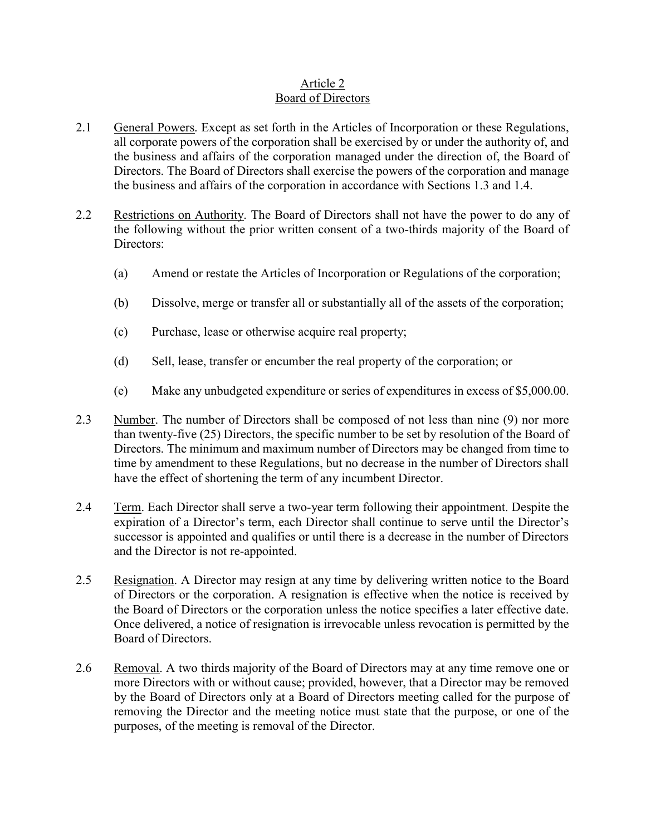## Article 2 Board of Directors

- 2.1 General Powers. Except as set forth in the Articles of Incorporation or these Regulations, all corporate powers of the corporation shall be exercised by or under the authority of, and the business and affairs of the corporation managed under the direction of, the Board of Directors. The Board of Directors shall exercise the powers of the corporation and manage the business and affairs of the corporation in accordance with Sections 1.3 and 1.4.
- 2.2 Restrictions on Authority. The Board of Directors shall not have the power to do any of the following without the prior written consent of a two-thirds majority of the Board of Directors:
	- (a) Amend or restate the Articles of Incorporation or Regulations of the corporation;
	- (b) Dissolve, merge or transfer all or substantially all of the assets of the corporation;
	- (c) Purchase, lease or otherwise acquire real property;
	- (d) Sell, lease, transfer or encumber the real property of the corporation; or
	- (e) Make any unbudgeted expenditure or series of expenditures in excess of \$5,000.00.
- 2.3 Number. The number of Directors shall be composed of not less than nine (9) nor more than twenty-five (25) Directors, the specific number to be set by resolution of the Board of Directors. The minimum and maximum number of Directors may be changed from time to time by amendment to these Regulations, but no decrease in the number of Directors shall have the effect of shortening the term of any incumbent Director.
- 2.4 Term. Each Director shall serve a two-year term following their appointment. Despite the expiration of a Director's term, each Director shall continue to serve until the Director's successor is appointed and qualifies or until there is a decrease in the number of Directors and the Director is not re-appointed.
- 2.5 Resignation. A Director may resign at any time by delivering written notice to the Board of Directors or the corporation. A resignation is effective when the notice is received by the Board of Directors or the corporation unless the notice specifies a later effective date. Once delivered, a notice of resignation is irrevocable unless revocation is permitted by the Board of Directors.
- 2.6 Removal. A two thirds majority of the Board of Directors may at any time remove one or more Directors with or without cause; provided, however, that a Director may be removed by the Board of Directors only at a Board of Directors meeting called for the purpose of removing the Director and the meeting notice must state that the purpose, or one of the purposes, of the meeting is removal of the Director.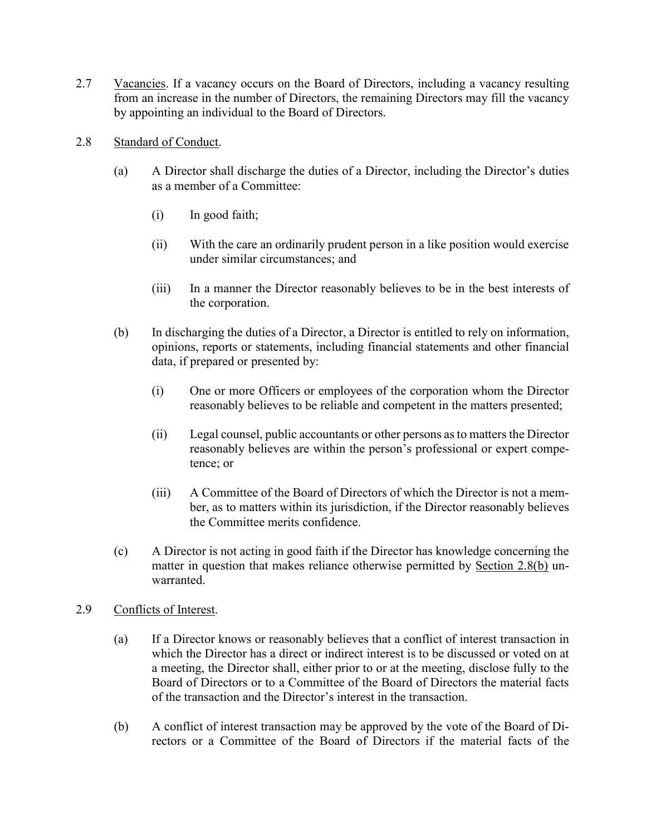- 2.7 Vacancies. If a vacancy occurs on the Board of Directors, including a vacancy resulting from an increase in the number of Directors, the remaining Directors may fill the vacancy by appointing an individual to the Board of Directors.
- 2.8 Standard of Conduct.
	- (a) A Director shall discharge the duties of a Director, including the Director's duties as a member of a Committee:
		- (i) In good faith;
		- (ii) With the care an ordinarily prudent person in a like position would exercise under similar circumstances; and
		- (iii) In a manner the Director reasonably believes to be in the best interests of the corporation.
	- (b) In discharging the duties of a Director, a Director is entitled to rely on information, opinions, reports or statements, including financial statements and other financial data, if prepared or presented by:
		- (i) One or more Officers or employees of the corporation whom the Director reasonably believes to be reliable and competent in the matters presented;
		- (ii) Legal counsel, public accountants or other persons as to matters the Director reasonably believes are within the person's professional or expert competence; or
		- (iii) A Committee of the Board of Directors of which the Director is not a member, as to matters within its jurisdiction, if the Director reasonably believes the Committee merits confidence.
	- (c) A Director is not acting in good faith if the Director has knowledge concerning the matter in question that makes reliance otherwise permitted by Section 2.8(b) unwarranted.
- 2.9 Conflicts of Interest.
	- (a) If a Director knows or reasonably believes that a conflict of interest transaction in which the Director has a direct or indirect interest is to be discussed or voted on at a meeting, the Director shall, either prior to or at the meeting, disclose fully to the Board of Directors or to a Committee of the Board of Directors the material facts of the transaction and the Director's interest in the transaction.
	- (b) A conflict of interest transaction may be approved by the vote of the Board of Directors or a Committee of the Board of Directors if the material facts of the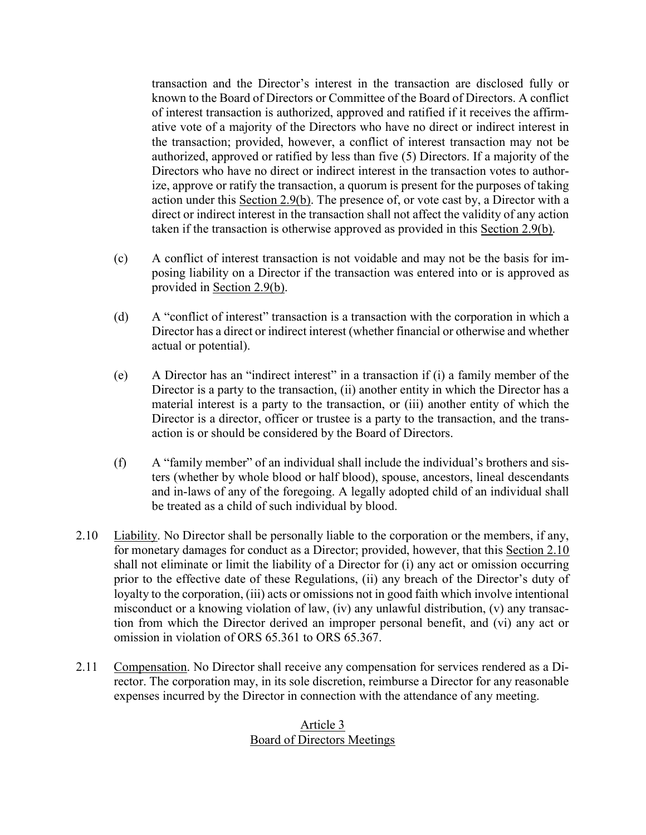transaction and the Director's interest in the transaction are disclosed fully or known to the Board of Directors or Committee of the Board of Directors. A conflict of interest transaction is authorized, approved and ratified if it receives the affirmative vote of a majority of the Directors who have no direct or indirect interest in the transaction; provided, however, a conflict of interest transaction may not be authorized, approved or ratified by less than five (5) Directors. If a majority of the Directors who have no direct or indirect interest in the transaction votes to authorize, approve or ratify the transaction, a quorum is present for the purposes of taking action under this Section 2.9(b). The presence of, or vote cast by, a Director with a direct or indirect interest in the transaction shall not affect the validity of any action taken if the transaction is otherwise approved as provided in this Section 2.9(b).

- (c) A conflict of interest transaction is not voidable and may not be the basis for imposing liability on a Director if the transaction was entered into or is approved as provided in Section 2.9(b).
- (d) A "conflict of interest" transaction is a transaction with the corporation in which a Director has a direct or indirect interest (whether financial or otherwise and whether actual or potential).
- (e) A Director has an "indirect interest" in a transaction if (i) a family member of the Director is a party to the transaction, (ii) another entity in which the Director has a material interest is a party to the transaction, or (iii) another entity of which the Director is a director, officer or trustee is a party to the transaction, and the transaction is or should be considered by the Board of Directors.
- (f) A "family member" of an individual shall include the individual's brothers and sisters (whether by whole blood or half blood), spouse, ancestors, lineal descendants and in-laws of any of the foregoing. A legally adopted child of an individual shall be treated as a child of such individual by blood.
- 2.10 Liability. No Director shall be personally liable to the corporation or the members, if any, for monetary damages for conduct as a Director; provided, however, that this Section 2.10 shall not eliminate or limit the liability of a Director for (i) any act or omission occurring prior to the effective date of these Regulations, (ii) any breach of the Director's duty of loyalty to the corporation, (iii) acts or omissions not in good faith which involve intentional misconduct or a knowing violation of law, (iv) any unlawful distribution, (v) any transaction from which the Director derived an improper personal benefit, and (vi) any act or omission in violation of ORS 65.361 to ORS 65.367.
- 2.11 Compensation. No Director shall receive any compensation for services rendered as a Director. The corporation may, in its sole discretion, reimburse a Director for any reasonable expenses incurred by the Director in connection with the attendance of any meeting.

## Article 3 Board of Directors Meetings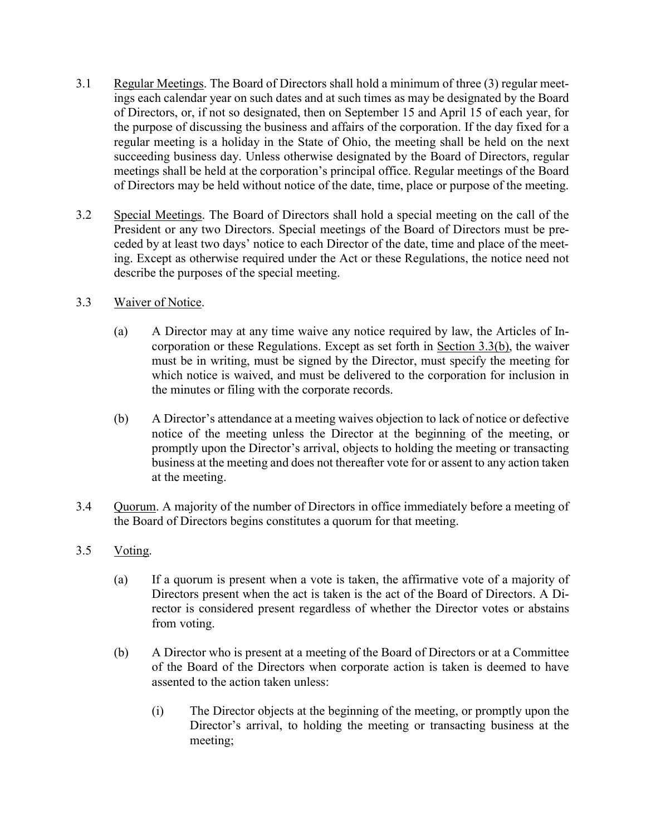- 3.1 Regular Meetings. The Board of Directors shall hold a minimum of three (3) regular meetings each calendar year on such dates and at such times as may be designated by the Board of Directors, or, if not so designated, then on September 15 and April 15 of each year, for the purpose of discussing the business and affairs of the corporation. If the day fixed for a regular meeting is a holiday in the State of Ohio, the meeting shall be held on the next succeeding business day. Unless otherwise designated by the Board of Directors, regular meetings shall be held at the corporation's principal office. Regular meetings of the Board of Directors may be held without notice of the date, time, place or purpose of the meeting.
- 3.2 Special Meetings. The Board of Directors shall hold a special meeting on the call of the President or any two Directors. Special meetings of the Board of Directors must be preceded by at least two days' notice to each Director of the date, time and place of the meeting. Except as otherwise required under the Act or these Regulations, the notice need not describe the purposes of the special meeting.
- 3.3 Waiver of Notice.
	- (a) A Director may at any time waive any notice required by law, the Articles of Incorporation or these Regulations. Except as set forth in Section 3.3(b), the waiver must be in writing, must be signed by the Director, must specify the meeting for which notice is waived, and must be delivered to the corporation for inclusion in the minutes or filing with the corporate records.
	- (b) A Director's attendance at a meeting waives objection to lack of notice or defective notice of the meeting unless the Director at the beginning of the meeting, or promptly upon the Director's arrival, objects to holding the meeting or transacting business at the meeting and does not thereafter vote for or assent to any action taken at the meeting.
- 3.4 Quorum. A majority of the number of Directors in office immediately before a meeting of the Board of Directors begins constitutes a quorum for that meeting.
- 3.5 Voting.
	- (a) If a quorum is present when a vote is taken, the affirmative vote of a majority of Directors present when the act is taken is the act of the Board of Directors. A Director is considered present regardless of whether the Director votes or abstains from voting.
	- (b) A Director who is present at a meeting of the Board of Directors or at a Committee of the Board of the Directors when corporate action is taken is deemed to have assented to the action taken unless:
		- (i) The Director objects at the beginning of the meeting, or promptly upon the Director's arrival, to holding the meeting or transacting business at the meeting;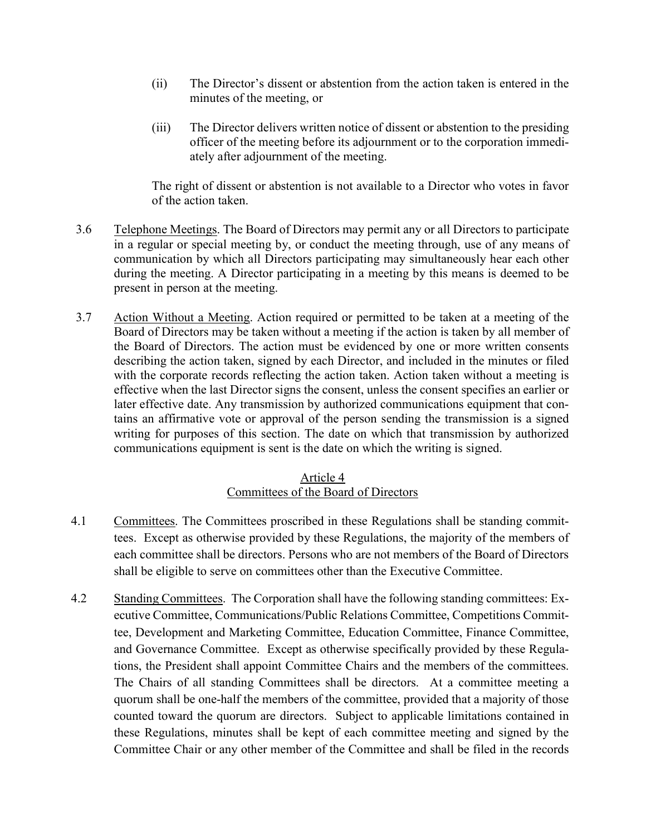- (ii) The Director's dissent or abstention from the action taken is entered in the minutes of the meeting, or
- (iii) The Director delivers written notice of dissent or abstention to the presiding officer of the meeting before its adjournment or to the corporation immediately after adjournment of the meeting.

The right of dissent or abstention is not available to a Director who votes in favor of the action taken.

- 3.6 Telephone Meetings. The Board of Directors may permit any or all Directors to participate in a regular or special meeting by, or conduct the meeting through, use of any means of communication by which all Directors participating may simultaneously hear each other during the meeting. A Director participating in a meeting by this means is deemed to be present in person at the meeting.
- 3.7 Action Without a Meeting. Action required or permitted to be taken at a meeting of the Board of Directors may be taken without a meeting if the action is taken by all member of the Board of Directors. The action must be evidenced by one or more written consents describing the action taken, signed by each Director, and included in the minutes or filed with the corporate records reflecting the action taken. Action taken without a meeting is effective when the last Director signs the consent, unless the consent specifies an earlier or later effective date. Any transmission by authorized communications equipment that contains an affirmative vote or approval of the person sending the transmission is a signed writing for purposes of this section. The date on which that transmission by authorized communications equipment is sent is the date on which the writing is signed.

## Article 4 Committees of the Board of Directors

- 4.1 Committees. The Committees proscribed in these Regulations shall be standing committees. Except as otherwise provided by these Regulations, the majority of the members of each committee shall be directors. Persons who are not members of the Board of Directors shall be eligible to serve on committees other than the Executive Committee.
- 4.2 Standing Committees. The Corporation shall have the following standing committees: Executive Committee, Communications/Public Relations Committee, Competitions Committee, Development and Marketing Committee, Education Committee, Finance Committee, and Governance Committee. Except as otherwise specifically provided by these Regulations, the President shall appoint Committee Chairs and the members of the committees. The Chairs of all standing Committees shall be directors. At a committee meeting a quorum shall be one-half the members of the committee, provided that a majority of those counted toward the quorum are directors. Subject to applicable limitations contained in these Regulations, minutes shall be kept of each committee meeting and signed by the Committee Chair or any other member of the Committee and shall be filed in the records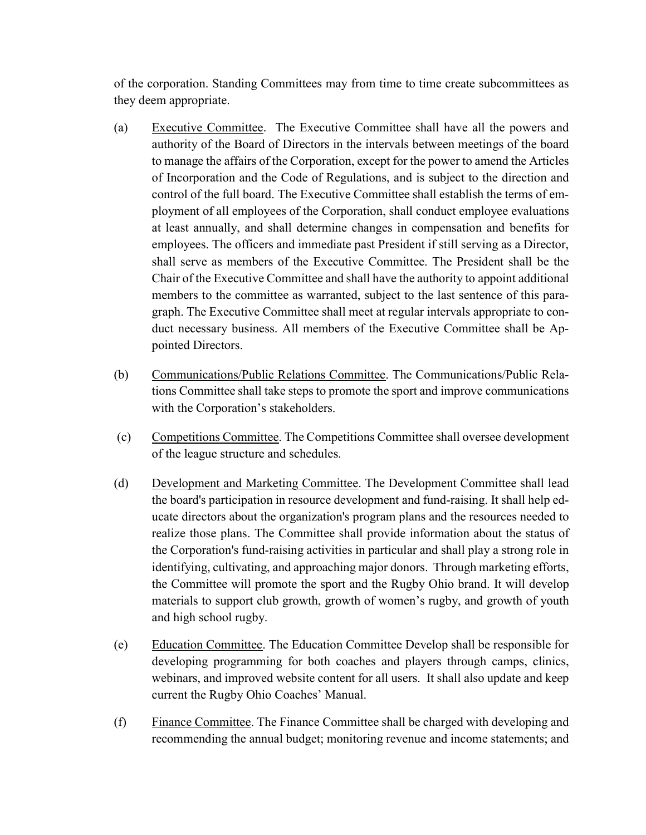of the corporation. Standing Committees may from time to time create subcommittees as they deem appropriate.

- (a) Executive Committee. The Executive Committee shall have all the powers and authority of the Board of Directors in the intervals between meetings of the board to manage the affairs of the Corporation, except for the power to amend the Articles of Incorporation and the Code of Regulations, and is subject to the direction and control of the full board. The Executive Committee shall establish the terms of employment of all employees of the Corporation, shall conduct employee evaluations at least annually, and shall determine changes in compensation and benefits for employees. The officers and immediate past President if still serving as a Director, shall serve as members of the Executive Committee. The President shall be the Chair of the Executive Committee and shall have the authority to appoint additional members to the committee as warranted, subject to the last sentence of this paragraph. The Executive Committee shall meet at regular intervals appropriate to conduct necessary business. All members of the Executive Committee shall be Appointed Directors.
- (b) Communications/Public Relations Committee. The Communications/Public Relations Committee shall take steps to promote the sport and improve communications with the Corporation's stakeholders.
- (c) Competitions Committee. The Competitions Committee shall oversee development of the league structure and schedules.
- (d) Development and Marketing Committee. The Development Committee shall lead the board's participation in resource development and fund-raising. It shall help educate directors about the organization's program plans and the resources needed to realize those plans. The Committee shall provide information about the status of the Corporation's fund-raising activities in particular and shall play a strong role in identifying, cultivating, and approaching major donors. Through marketing efforts, the Committee will promote the sport and the Rugby Ohio brand. It will develop materials to support club growth, growth of women's rugby, and growth of youth and high school rugby.
- (e) Education Committee. The Education Committee Develop shall be responsible for developing programming for both coaches and players through camps, clinics, webinars, and improved website content for all users. It shall also update and keep current the Rugby Ohio Coaches' Manual.
- (f) Finance Committee. The Finance Committee shall be charged with developing and recommending the annual budget; monitoring revenue and income statements; and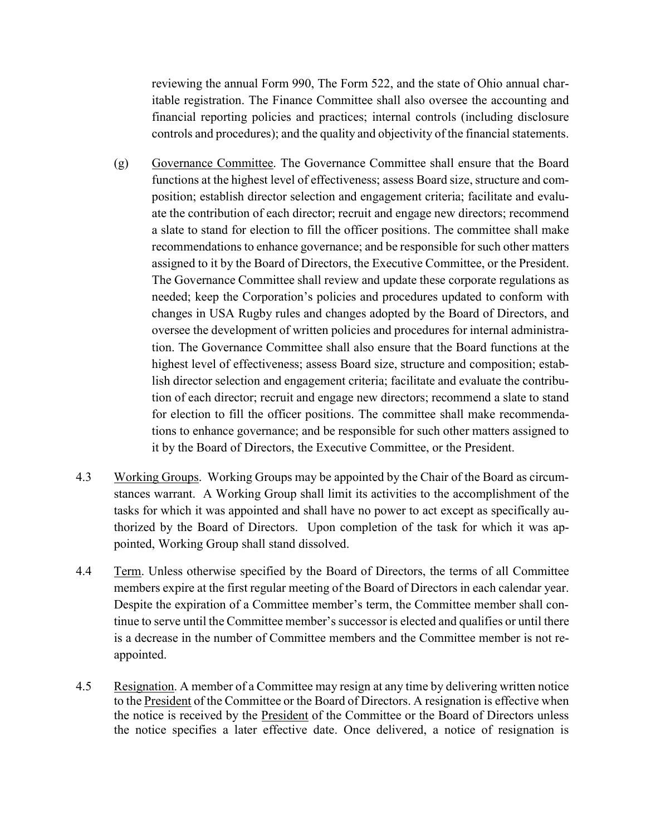reviewing the annual Form 990, The Form 522, and the state of Ohio annual charitable registration. The Finance Committee shall also oversee the accounting and financial reporting policies and practices; internal controls (including disclosure controls and procedures); and the quality and objectivity of the financial statements.

- (g) Governance Committee. The Governance Committee shall ensure that the Board functions at the highest level of effectiveness; assess Board size, structure and composition; establish director selection and engagement criteria; facilitate and evaluate the contribution of each director; recruit and engage new directors; recommend a slate to stand for election to fill the officer positions. The committee shall make recommendations to enhance governance; and be responsible for such other matters assigned to it by the Board of Directors, the Executive Committee, or the President. The Governance Committee shall review and update these corporate regulations as needed; keep the Corporation's policies and procedures updated to conform with changes in USA Rugby rules and changes adopted by the Board of Directors, and oversee the development of written policies and procedures for internal administration. The Governance Committee shall also ensure that the Board functions at the highest level of effectiveness; assess Board size, structure and composition; establish director selection and engagement criteria; facilitate and evaluate the contribution of each director; recruit and engage new directors; recommend a slate to stand for election to fill the officer positions. The committee shall make recommendations to enhance governance; and be responsible for such other matters assigned to it by the Board of Directors, the Executive Committee, or the President.
- 4.3 Working Groups. Working Groups may be appointed by the Chair of the Board as circumstances warrant. A Working Group shall limit its activities to the accomplishment of the tasks for which it was appointed and shall have no power to act except as specifically authorized by the Board of Directors. Upon completion of the task for which it was appointed, Working Group shall stand dissolved.
- 4.4 Term. Unless otherwise specified by the Board of Directors, the terms of all Committee members expire at the first regular meeting of the Board of Directors in each calendar year. Despite the expiration of a Committee member's term, the Committee member shall continue to serve until the Committee member's successor is elected and qualifies or until there is a decrease in the number of Committee members and the Committee member is not reappointed.
- 4.5 Resignation. A member of a Committee may resign at any time by delivering written notice to the President of the Committee or the Board of Directors. A resignation is effective when the notice is received by the President of the Committee or the Board of Directors unless the notice specifies a later effective date. Once delivered, a notice of resignation is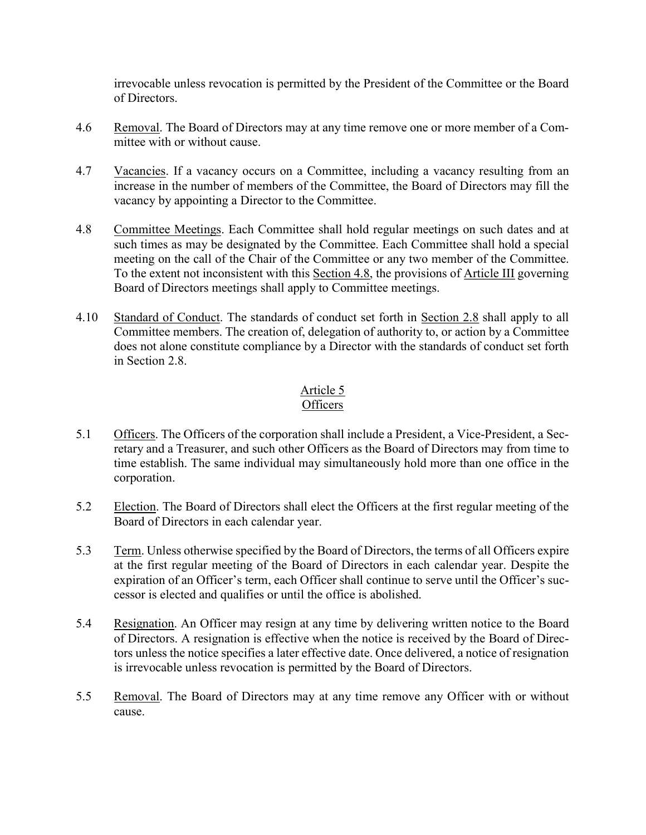irrevocable unless revocation is permitted by the President of the Committee or the Board of Directors.

- 4.6 Removal. The Board of Directors may at any time remove one or more member of a Committee with or without cause.
- 4.7 Vacancies. If a vacancy occurs on a Committee, including a vacancy resulting from an increase in the number of members of the Committee, the Board of Directors may fill the vacancy by appointing a Director to the Committee.
- 4.8 Committee Meetings. Each Committee shall hold regular meetings on such dates and at such times as may be designated by the Committee. Each Committee shall hold a special meeting on the call of the Chair of the Committee or any two member of the Committee. To the extent not inconsistent with this Section 4.8, the provisions of Article III governing Board of Directors meetings shall apply to Committee meetings.
- 4.10 Standard of Conduct. The standards of conduct set forth in Section 2.8 shall apply to all Committee members. The creation of, delegation of authority to, or action by a Committee does not alone constitute compliance by a Director with the standards of conduct set forth in Section 2.8.

#### Article 5 **Officers**

- 5.1 Officers. The Officers of the corporation shall include a President, a Vice-President, a Secretary and a Treasurer, and such other Officers as the Board of Directors may from time to time establish. The same individual may simultaneously hold more than one office in the corporation.
- 5.2 Election. The Board of Directors shall elect the Officers at the first regular meeting of the Board of Directors in each calendar year.
- 5.3 Term. Unless otherwise specified by the Board of Directors, the terms of all Officers expire at the first regular meeting of the Board of Directors in each calendar year. Despite the expiration of an Officer's term, each Officer shall continue to serve until the Officer's successor is elected and qualifies or until the office is abolished.
- 5.4 Resignation. An Officer may resign at any time by delivering written notice to the Board of Directors. A resignation is effective when the notice is received by the Board of Directors unless the notice specifies a later effective date. Once delivered, a notice of resignation is irrevocable unless revocation is permitted by the Board of Directors.
- 5.5 Removal. The Board of Directors may at any time remove any Officer with or without cause.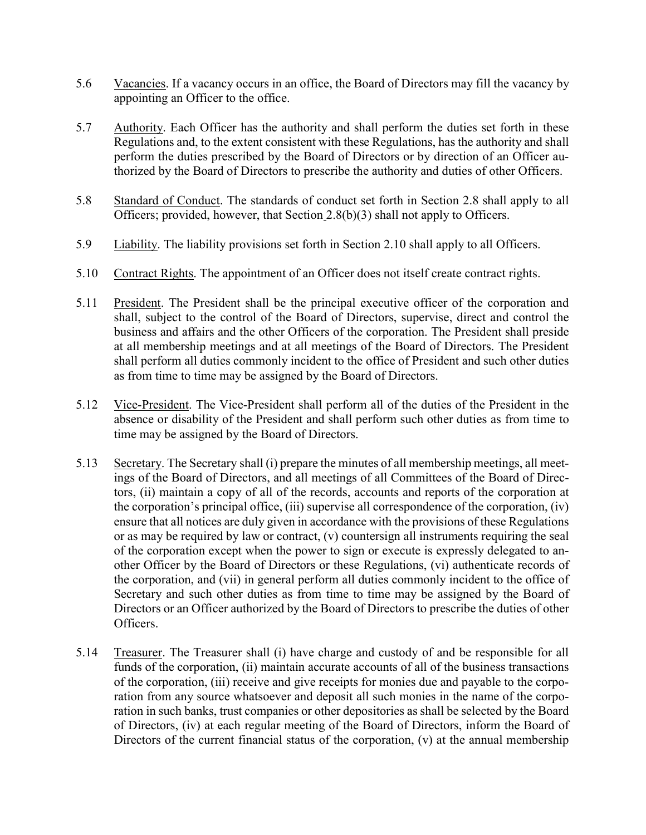- 5.6 Vacancies. If a vacancy occurs in an office, the Board of Directors may fill the vacancy by appointing an Officer to the office.
- 5.7 Authority. Each Officer has the authority and shall perform the duties set forth in these Regulations and, to the extent consistent with these Regulations, has the authority and shall perform the duties prescribed by the Board of Directors or by direction of an Officer authorized by the Board of Directors to prescribe the authority and duties of other Officers.
- 5.8 Standard of Conduct. The standards of conduct set forth in Section 2.8 shall apply to all Officers; provided, however, that Section 2.8(b)(3) shall not apply to Officers.
- 5.9 Liability. The liability provisions set forth in Section 2.10 shall apply to all Officers.
- 5.10 Contract Rights. The appointment of an Officer does not itself create contract rights.
- 5.11 President. The President shall be the principal executive officer of the corporation and shall, subject to the control of the Board of Directors, supervise, direct and control the business and affairs and the other Officers of the corporation. The President shall preside at all membership meetings and at all meetings of the Board of Directors. The President shall perform all duties commonly incident to the office of President and such other duties as from time to time may be assigned by the Board of Directors.
- 5.12 Vice-President. The Vice-President shall perform all of the duties of the President in the absence or disability of the President and shall perform such other duties as from time to time may be assigned by the Board of Directors.
- 5.13 Secretary. The Secretary shall (i) prepare the minutes of all membership meetings, all meetings of the Board of Directors, and all meetings of all Committees of the Board of Directors, (ii) maintain a copy of all of the records, accounts and reports of the corporation at the corporation's principal office, (iii) supervise all correspondence of the corporation, (iv) ensure that all notices are duly given in accordance with the provisions of these Regulations or as may be required by law or contract, (v) countersign all instruments requiring the seal of the corporation except when the power to sign or execute is expressly delegated to another Officer by the Board of Directors or these Regulations, (vi) authenticate records of the corporation, and (vii) in general perform all duties commonly incident to the office of Secretary and such other duties as from time to time may be assigned by the Board of Directors or an Officer authorized by the Board of Directors to prescribe the duties of other Officers.
- 5.14 Treasurer. The Treasurer shall (i) have charge and custody of and be responsible for all funds of the corporation, (ii) maintain accurate accounts of all of the business transactions of the corporation, (iii) receive and give receipts for monies due and payable to the corporation from any source whatsoever and deposit all such monies in the name of the corporation in such banks, trust companies or other depositories as shall be selected by the Board of Directors, (iv) at each regular meeting of the Board of Directors, inform the Board of Directors of the current financial status of the corporation, (v) at the annual membership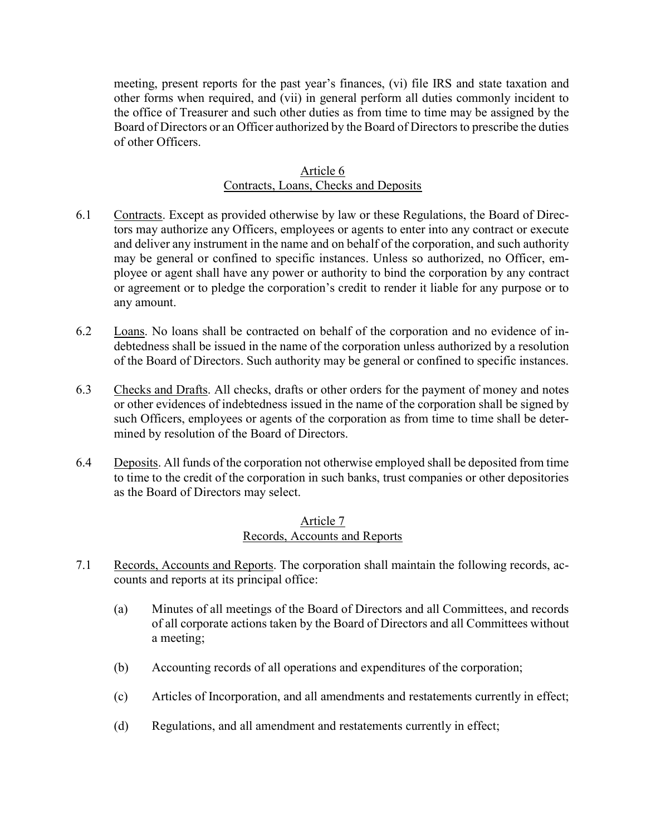meeting, present reports for the past year's finances, (vi) file IRS and state taxation and other forms when required, and (vii) in general perform all duties commonly incident to the office of Treasurer and such other duties as from time to time may be assigned by the Board of Directors or an Officer authorized by the Board of Directors to prescribe the duties of other Officers.

## Article 6 Contracts, Loans, Checks and Deposits

- 6.1 Contracts. Except as provided otherwise by law or these Regulations, the Board of Directors may authorize any Officers, employees or agents to enter into any contract or execute and deliver any instrument in the name and on behalf of the corporation, and such authority may be general or confined to specific instances. Unless so authorized, no Officer, employee or agent shall have any power or authority to bind the corporation by any contract or agreement or to pledge the corporation's credit to render it liable for any purpose or to any amount.
- 6.2 Loans. No loans shall be contracted on behalf of the corporation and no evidence of indebtedness shall be issued in the name of the corporation unless authorized by a resolution of the Board of Directors. Such authority may be general or confined to specific instances.
- 6.3 Checks and Drafts. All checks, drafts or other orders for the payment of money and notes or other evidences of indebtedness issued in the name of the corporation shall be signed by such Officers, employees or agents of the corporation as from time to time shall be determined by resolution of the Board of Directors.
- 6.4 Deposits. All funds of the corporation not otherwise employed shall be deposited from time to time to the credit of the corporation in such banks, trust companies or other depositories as the Board of Directors may select.

## Article 7 Records, Accounts and Reports

- 7.1 Records, Accounts and Reports. The corporation shall maintain the following records, accounts and reports at its principal office:
	- (a) Minutes of all meetings of the Board of Directors and all Committees, and records of all corporate actions taken by the Board of Directors and all Committees without a meeting;
	- (b) Accounting records of all operations and expenditures of the corporation;
	- (c) Articles of Incorporation, and all amendments and restatements currently in effect;
	- (d) Regulations, and all amendment and restatements currently in effect;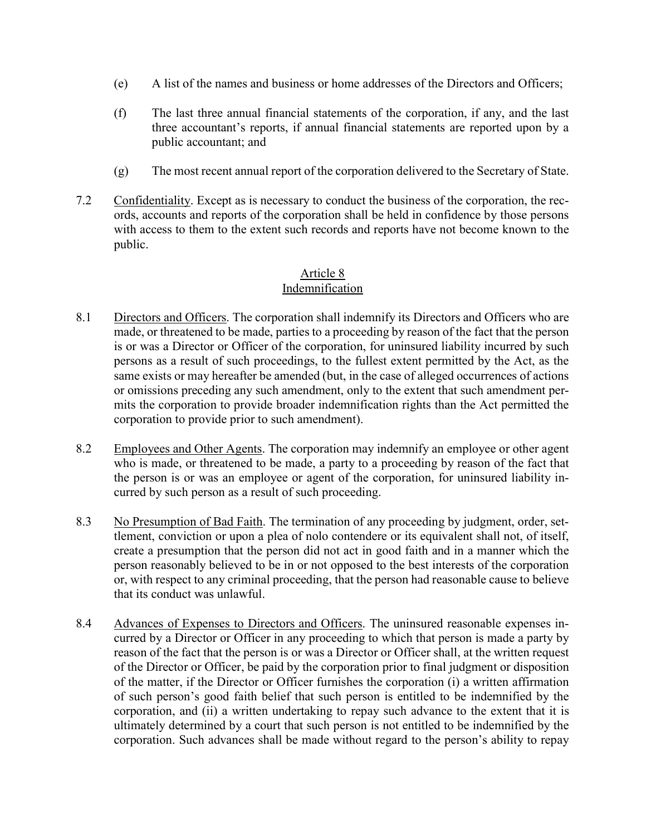- (e) A list of the names and business or home addresses of the Directors and Officers;
- (f) The last three annual financial statements of the corporation, if any, and the last three accountant's reports, if annual financial statements are reported upon by a public accountant; and
- (g) The most recent annual report of the corporation delivered to the Secretary of State.
- 7.2 Confidentiality. Except as is necessary to conduct the business of the corporation, the records, accounts and reports of the corporation shall be held in confidence by those persons with access to them to the extent such records and reports have not become known to the public.

### Article 8 Indemnification

- 8.1 Directors and Officers. The corporation shall indemnify its Directors and Officers who are made, or threatened to be made, parties to a proceeding by reason of the fact that the person is or was a Director or Officer of the corporation, for uninsured liability incurred by such persons as a result of such proceedings, to the fullest extent permitted by the Act, as the same exists or may hereafter be amended (but, in the case of alleged occurrences of actions or omissions preceding any such amendment, only to the extent that such amendment permits the corporation to provide broader indemnification rights than the Act permitted the corporation to provide prior to such amendment).
- 8.2 Employees and Other Agents. The corporation may indemnify an employee or other agent who is made, or threatened to be made, a party to a proceeding by reason of the fact that the person is or was an employee or agent of the corporation, for uninsured liability incurred by such person as a result of such proceeding.
- 8.3 No Presumption of Bad Faith. The termination of any proceeding by judgment, order, settlement, conviction or upon a plea of nolo contendere or its equivalent shall not, of itself, create a presumption that the person did not act in good faith and in a manner which the person reasonably believed to be in or not opposed to the best interests of the corporation or, with respect to any criminal proceeding, that the person had reasonable cause to believe that its conduct was unlawful.
- 8.4 Advances of Expenses to Directors and Officers. The uninsured reasonable expenses incurred by a Director or Officer in any proceeding to which that person is made a party by reason of the fact that the person is or was a Director or Officer shall, at the written request of the Director or Officer, be paid by the corporation prior to final judgment or disposition of the matter, if the Director or Officer furnishes the corporation (i) a written affirmation of such person's good faith belief that such person is entitled to be indemnified by the corporation, and (ii) a written undertaking to repay such advance to the extent that it is ultimately determined by a court that such person is not entitled to be indemnified by the corporation. Such advances shall be made without regard to the person's ability to repay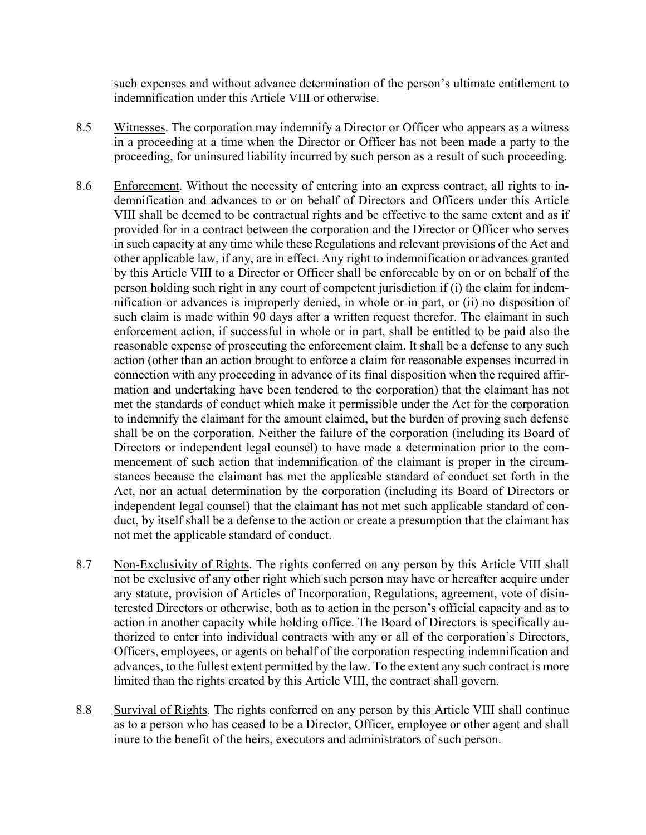such expenses and without advance determination of the person's ultimate entitlement to indemnification under this Article VIII or otherwise.

- 8.5 Witnesses. The corporation may indemnify a Director or Officer who appears as a witness in a proceeding at a time when the Director or Officer has not been made a party to the proceeding, for uninsured liability incurred by such person as a result of such proceeding.
- 8.6 Enforcement. Without the necessity of entering into an express contract, all rights to indemnification and advances to or on behalf of Directors and Officers under this Article VIII shall be deemed to be contractual rights and be effective to the same extent and as if provided for in a contract between the corporation and the Director or Officer who serves in such capacity at any time while these Regulations and relevant provisions of the Act and other applicable law, if any, are in effect. Any right to indemnification or advances granted by this Article VIII to a Director or Officer shall be enforceable by on or on behalf of the person holding such right in any court of competent jurisdiction if (i) the claim for indemnification or advances is improperly denied, in whole or in part, or (ii) no disposition of such claim is made within 90 days after a written request therefor. The claimant in such enforcement action, if successful in whole or in part, shall be entitled to be paid also the reasonable expense of prosecuting the enforcement claim. It shall be a defense to any such action (other than an action brought to enforce a claim for reasonable expenses incurred in connection with any proceeding in advance of its final disposition when the required affirmation and undertaking have been tendered to the corporation) that the claimant has not met the standards of conduct which make it permissible under the Act for the corporation to indemnify the claimant for the amount claimed, but the burden of proving such defense shall be on the corporation. Neither the failure of the corporation (including its Board of Directors or independent legal counsel) to have made a determination prior to the commencement of such action that indemnification of the claimant is proper in the circumstances because the claimant has met the applicable standard of conduct set forth in the Act, nor an actual determination by the corporation (including its Board of Directors or independent legal counsel) that the claimant has not met such applicable standard of conduct, by itself shall be a defense to the action or create a presumption that the claimant has not met the applicable standard of conduct.
- 8.7 Non-Exclusivity of Rights. The rights conferred on any person by this Article VIII shall not be exclusive of any other right which such person may have or hereafter acquire under any statute, provision of Articles of Incorporation, Regulations, agreement, vote of disinterested Directors or otherwise, both as to action in the person's official capacity and as to action in another capacity while holding office. The Board of Directors is specifically authorized to enter into individual contracts with any or all of the corporation's Directors, Officers, employees, or agents on behalf of the corporation respecting indemnification and advances, to the fullest extent permitted by the law. To the extent any such contract is more limited than the rights created by this Article VIII, the contract shall govern.
- 8.8 Survival of Rights. The rights conferred on any person by this Article VIII shall continue as to a person who has ceased to be a Director, Officer, employee or other agent and shall inure to the benefit of the heirs, executors and administrators of such person.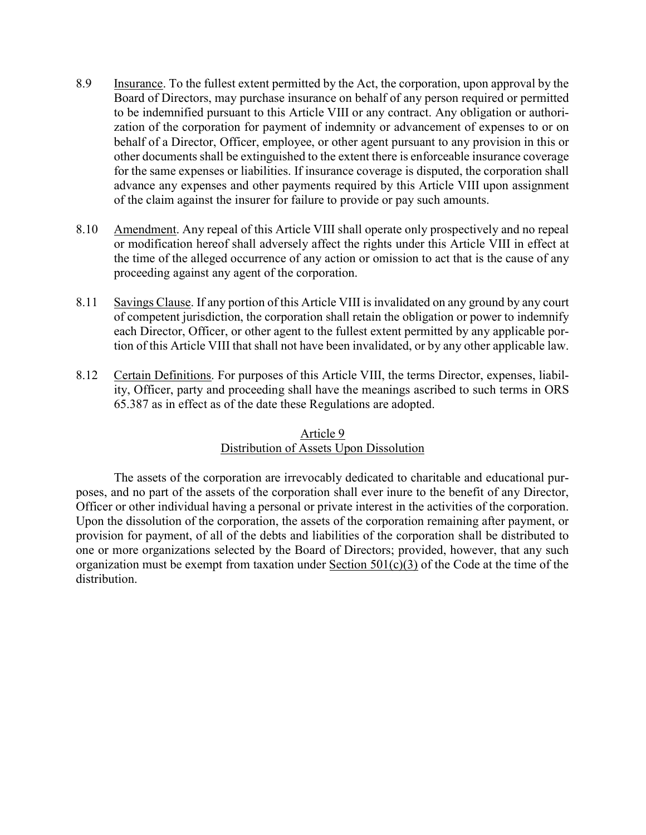- 8.9 Insurance. To the fullest extent permitted by the Act, the corporation, upon approval by the Board of Directors, may purchase insurance on behalf of any person required or permitted to be indemnified pursuant to this Article VIII or any contract. Any obligation or authorization of the corporation for payment of indemnity or advancement of expenses to or on behalf of a Director, Officer, employee, or other agent pursuant to any provision in this or other documents shall be extinguished to the extent there is enforceable insurance coverage for the same expenses or liabilities. If insurance coverage is disputed, the corporation shall advance any expenses and other payments required by this Article VIII upon assignment of the claim against the insurer for failure to provide or pay such amounts.
- 8.10 Amendment. Any repeal of this Article VIII shall operate only prospectively and no repeal or modification hereof shall adversely affect the rights under this Article VIII in effect at the time of the alleged occurrence of any action or omission to act that is the cause of any proceeding against any agent of the corporation.
- 8.11 Savings Clause. If any portion of this Article VIII is invalidated on any ground by any court of competent jurisdiction, the corporation shall retain the obligation or power to indemnify each Director, Officer, or other agent to the fullest extent permitted by any applicable portion of this Article VIII that shall not have been invalidated, or by any other applicable law.
- 8.12 Certain Definitions. For purposes of this Article VIII, the terms Director, expenses, liability, Officer, party and proceeding shall have the meanings ascribed to such terms in ORS 65.387 as in effect as of the date these Regulations are adopted.

## Article 9 Distribution of Assets Upon Dissolution

The assets of the corporation are irrevocably dedicated to charitable and educational purposes, and no part of the assets of the corporation shall ever inure to the benefit of any Director, Officer or other individual having a personal or private interest in the activities of the corporation. Upon the dissolution of the corporation, the assets of the corporation remaining after payment, or provision for payment, of all of the debts and liabilities of the corporation shall be distributed to one or more organizations selected by the Board of Directors; provided, however, that any such organization must be exempt from taxation under Section  $501(c)(3)$  of the Code at the time of the distribution.